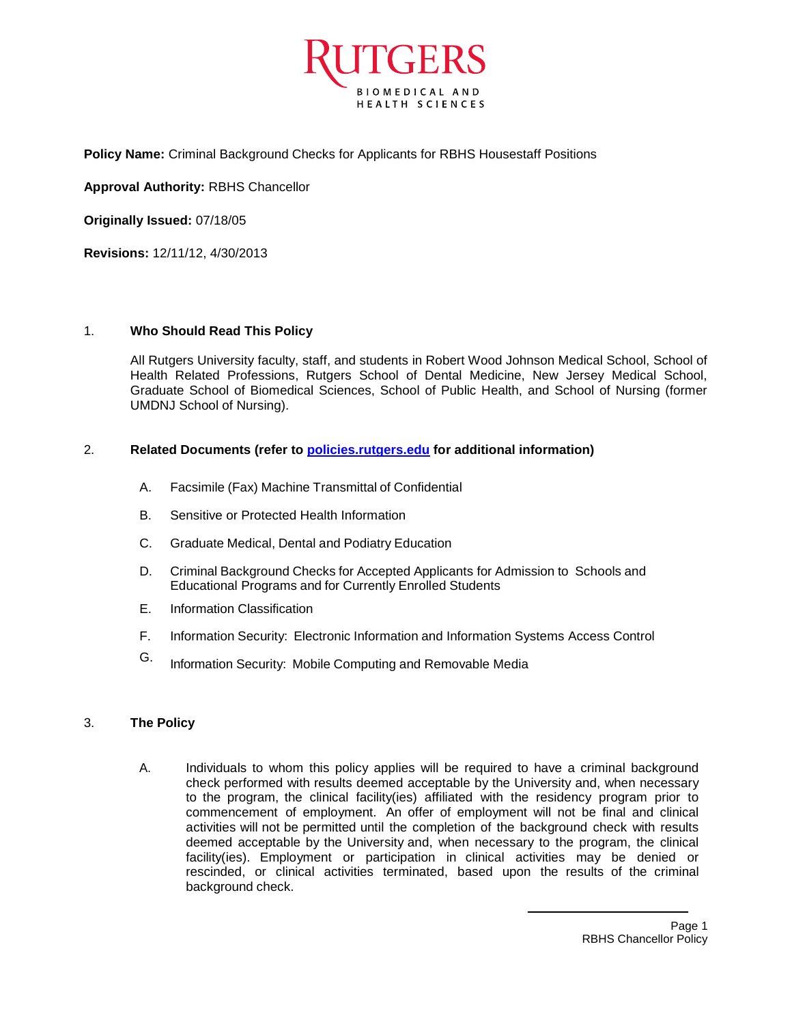

**Policy Name:** Criminal Background Checks for Applicants for RBHS Housestaff Positions

**Approval Authority:** RBHS Chancellor

**Originally Issued:** 07/18/05

**Revisions:** 12/11/12, 4/30/2013

#### 1. **Who Should Read This Policy**

All Rutgers University faculty, staff, and students in Robert Wood Johnson Medical School, School of Health Related Professions, Rutgers School of Dental Medicine, New Jersey Medical School, Graduate School of Biomedical Sciences, School of Public Health, and School of Nursing (former UMDNJ School of Nursing).

#### 2. **Related Documents (refer to<policies.rutgers.edu> for additional information)**

- A. Facsimile (Fax) Machine Transmittal of Confidential
- B. Sensitive or Protected Health Information
- C. Graduate Medical, Dental and Podiatry Education
- D. Criminal Background Checks for Accepted Applicants for Admission to Schools and Educational Programs and for Currently Enrolled Students
- E. Information Classification
- F. Information Security: Electronic Information and Information Systems Access Control
- G. Information Security: Mobile Computing and Removable Media

## 3. **The Policy**

A. Individuals to whom this policy applies will be required to have a criminal background check performed with results deemed acceptable by the University and, when necessary to the program, the clinical facility(ies) affiliated with the residency program prior to commencement of employment. An offer of employment will not be final and clinical activities will not be permitted until the completion of the background check with results deemed acceptable by the University and, when necessary to the program, the clinical facility(ies). Employment or participation in clinical activities may be denied or rescinded, or clinical activities terminated, based upon the results of the criminal background check.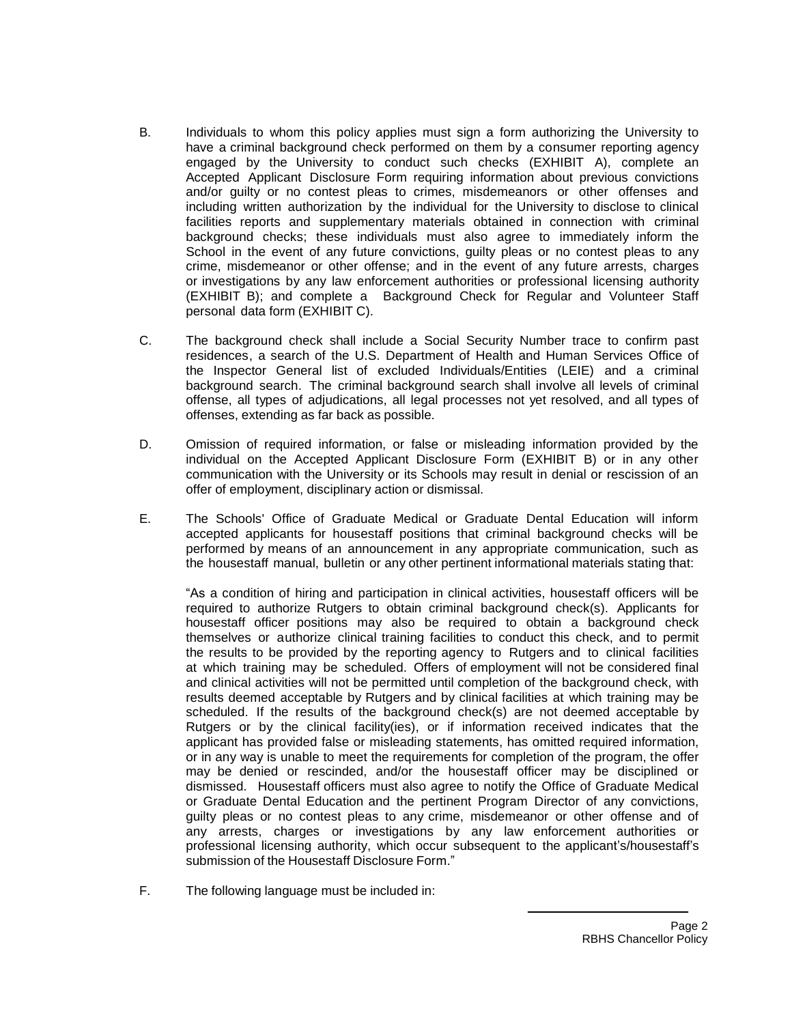- B. Individuals to whom this policy applies must sign a form authorizing the University to have a criminal background check performed on them by a consumer reporting agency engaged by the University to conduct such checks (EXHIBIT A), complete an Accepted Applicant Disclosure Form requiring information about previous convictions and/or guilty or no contest pleas to crimes, misdemeanors or other offenses and including written authorization by the individual for the University to disclose to clinical facilities reports and supplementary materials obtained in connection with criminal background checks; these individuals must also agree to immediately inform the School in the event of any future convictions, guilty pleas or no contest pleas to any crime, misdemeanor or other offense; and in the event of any future arrests, charges or investigations by any law enforcement authorities or professional licensing authority (EXHIBIT B); and complete a Background Check for Regular and Volunteer Staff personal data form (EXHIBIT C).
- C. The background check shall include a Social Security Number trace to confirm past residences, a search of the U.S. Department of Health and Human Services Office of the Inspector General list of excluded Individuals/Entities (LEIE) and a criminal background search. The criminal background search shall involve all levels of criminal offense, all types of adjudications, all legal processes not yet resolved, and all types of offenses, extending as far back as possible.
- D. Omission of required information, or false or misleading information provided by the individual on the Accepted Applicant Disclosure Form (EXHIBIT B) or in any other communication with the University or its Schools may result in denial or rescission of an offer of employment, disciplinary action or dismissal.
- E. The Schools' Office of Graduate Medical or Graduate Dental Education will inform accepted applicants for housestaff positions that criminal background checks will be performed by means of an announcement in any appropriate communication, such as the housestaff manual, bulletin or any other pertinent informational materials stating that:

"As a condition of hiring and participation in clinical activities, housestaff officers will be required to authorize Rutgers to obtain criminal background check(s). Applicants for housestaff officer positions may also be required to obtain a background check themselves or authorize clinical training facilities to conduct this check, and to permit the results to be provided by the reporting agency to Rutgers and to clinical facilities at which training may be scheduled. Offers of employment will not be considered final and clinical activities will not be permitted until completion of the background check, with results deemed acceptable by Rutgers and by clinical facilities at which training may be scheduled. If the results of the background check(s) are not deemed acceptable by Rutgers or by the clinical facility(ies), or if information received indicates that the applicant has provided false or misleading statements, has omitted required information, or in any way is unable to meet the requirements for completion of the program, the offer may be denied or rescinded, and/or the housestaff officer may be disciplined or dismissed. Housestaff officers must also agree to notify the Office of Graduate Medical or Graduate Dental Education and the pertinent Program Director of any convictions, guilty pleas or no contest pleas to any crime, misdemeanor or other offense and of any arrests, charges or investigations by any law enforcement authorities or professional licensing authority, which occur subsequent to the applicant's/housestaff's submission of the Housestaff Disclosure Form."

F. The following language must be included in: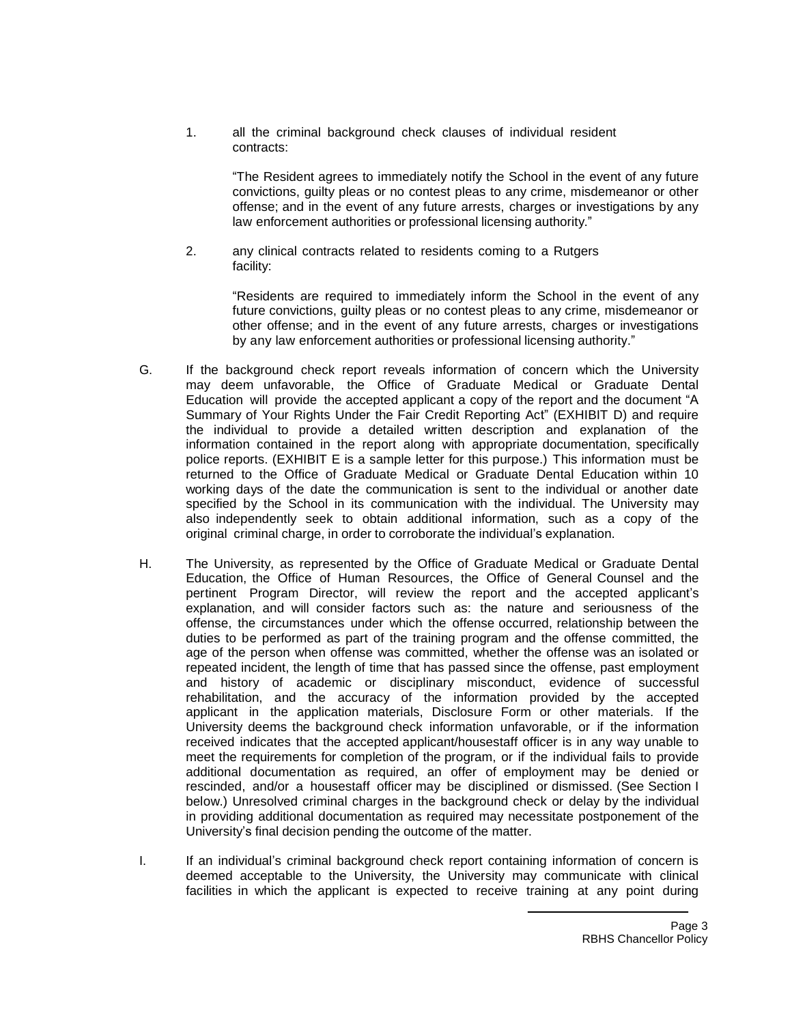1. all the criminal background check clauses of individual resident contracts:

> "The Resident agrees to immediately notify the School in the event of any future convictions, guilty pleas or no contest pleas to any crime, misdemeanor or other offense; and in the event of any future arrests, charges or investigations by any law enforcement authorities or professional licensing authority."

2. any clinical contracts related to residents coming to a Rutgers facility:

> "Residents are required to immediately inform the School in the event of any future convictions, guilty pleas or no contest pleas to any crime, misdemeanor or other offense; and in the event of any future arrests, charges or investigations by any law enforcement authorities or professional licensing authority."

- G. If the background check report reveals information of concern which the University may deem unfavorable, the Office of Graduate Medical or Graduate Dental Education will provide the accepted applicant a copy of the report and the document "A Summary of Your Rights Under the Fair Credit Reporting Act" (EXHIBIT D) and require the individual to provide a detailed written description and explanation of the information contained in the report along with appropriate documentation, specifically police reports. (EXHIBIT E is a sample letter for this purpose.) This information must be returned to the Office of Graduate Medical or Graduate Dental Education within 10 working days of the date the communication is sent to the individual or another date specified by the School in its communication with the individual. The University may also independently seek to obtain additional information, such as a copy of the original criminal charge, in order to corroborate the individual's explanation.
- H. The University, as represented by the Office of Graduate Medical or Graduate Dental Education, the Office of Human Resources, the Office of General Counsel and the pertinent Program Director, will review the report and the accepted applicant's explanation, and will consider factors such as: the nature and seriousness of the offense, the circumstances under which the offense occurred, relationship between the duties to be performed as part of the training program and the offense committed, the age of the person when offense was committed, whether the offense was an isolated or repeated incident, the length of time that has passed since the offense, past employment and history of academic or disciplinary misconduct, evidence of successful rehabilitation, and the accuracy of the information provided by the accepted applicant in the application materials, Disclosure Form or other materials. If the University deems the background check information unfavorable, or if the information received indicates that the accepted applicant/housestaff officer is in any way unable to meet the requirements for completion of the program, or if the individual fails to provide additional documentation as required, an offer of employment may be denied or rescinded, and/or a housestaff officer may be disciplined or dismissed. (See Section I below.) Unresolved criminal charges in the background check or delay by the individual in providing additional documentation as required may necessitate postponement of the University's final decision pending the outcome of the matter.
- I. If an individual's criminal background check report containing information of concern is deemed acceptable to the University, the University may communicate with clinical facilities in which the applicant is expected to receive training at any point during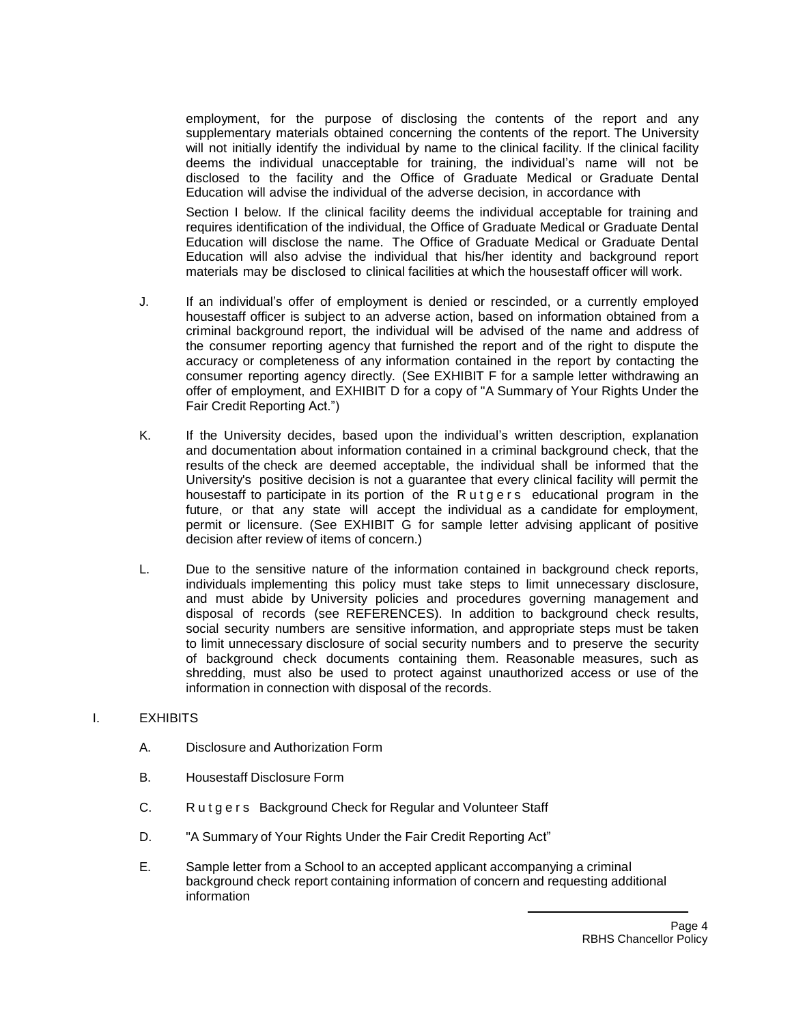employment, for the purpose of disclosing the contents of the report and any supplementary materials obtained concerning the contents of the report. The University will not initially identify the individual by name to the clinical facility. If the clinical facility deems the individual unacceptable for training, the individual's name will not be disclosed to the facility and the Office of Graduate Medical or Graduate Dental Education will advise the individual of the adverse decision, in accordance with

Section I below. If the clinical facility deems the individual acceptable for training and requires identification of the individual, the Office of Graduate Medical or Graduate Dental Education will disclose the name. The Office of Graduate Medical or Graduate Dental Education will also advise the individual that his/her identity and background report materials may be disclosed to clinical facilities at which the housestaff officer will work.

- J. If an individual's offer of employment is denied or rescinded, or a currently employed housestaff officer is subject to an adverse action, based on information obtained from a criminal background report, the individual will be advised of the name and address of the consumer reporting agency that furnished the report and of the right to dispute the accuracy or completeness of any information contained in the report by contacting the consumer reporting agency directly. (See EXHIBIT F for a sample letter withdrawing an offer of employment, and EXHIBIT D for a copy of "A Summary of Your Rights Under the Fair Credit Reporting Act.")
- K. If the University decides, based upon the individual's written description, explanation and documentation about information contained in a criminal background check, that the results of the check are deemed acceptable, the individual shall be informed that the University's positive decision is not a guarantee that every clinical facility will permit the housestaff to participate in its portion of the Rutgers educational program in the future, or that any state will accept the individual as a candidate for employment, permit or licensure. (See EXHIBIT G for sample letter advising applicant of positive decision after review of items of concern.)
- L. Due to the sensitive nature of the information contained in background check reports, individuals implementing this policy must take steps to limit unnecessary disclosure, and must abide by University policies and procedures governing management and disposal of records (see REFERENCES). In addition to background check results, social security numbers are sensitive information, and appropriate steps must be taken to limit unnecessary disclosure of social security numbers and to preserve the security of background check documents containing them. Reasonable measures, such as shredding, must also be used to protect against unauthorized access or use of the information in connection with disposal of the records.

#### I. EXHIBITS

- A. Disclosure and Authorization Form
- B. Housestaff Disclosure Form
- C. Rutgers Background Check for Regular and Volunteer Staff
- D. "A Summary of Your Rights Under the Fair Credit Reporting Act"
- E. Sample letter from a School to an accepted applicant accompanying a criminal background check report containing information of concern and requesting additional information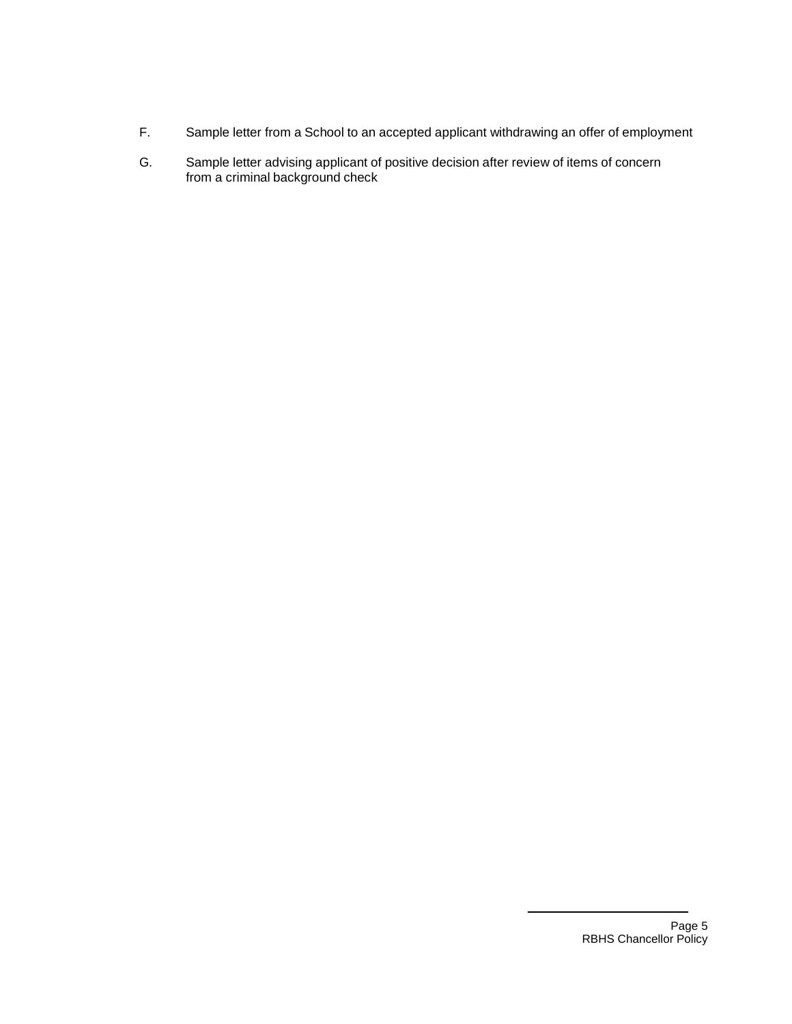- F. Sample letter from a School to an accepted applicant withdrawing an offer of employment
- G. Sample letter advising applicant of positive decision after review of items of concern from a criminal background check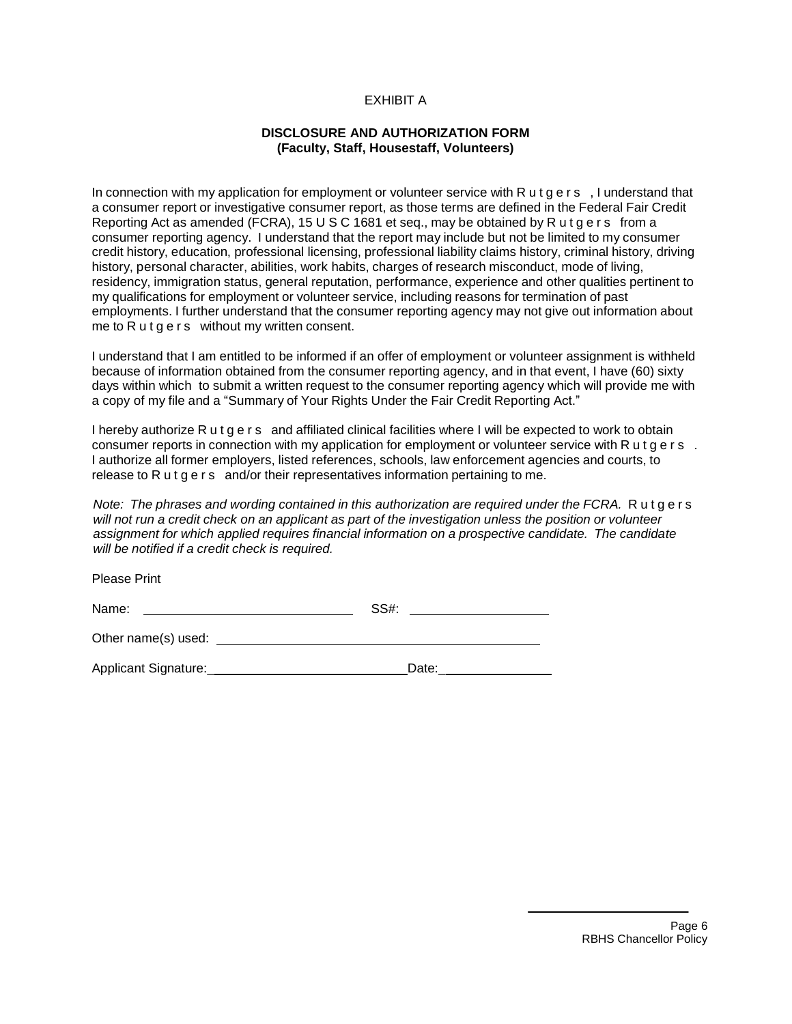#### EXHIBIT A

#### **DISCLOSURE AND AUTHORIZATION FORM (Faculty, Staff, Housestaff, Volunteers)**

In connection with my application for employment or volunteer service with R u t g e r s , I understand that a consumer report or investigative consumer report, as those terms are defined in the Federal Fair Credit Reporting Act as amended (FCRA), 15 U S C 1681 et seq., may be obtained by R u t g e r s from a consumer reporting agency. I understand that the report may include but not be limited to my consumer credit history, education, professional licensing, professional liability claims history, criminal history, driving history, personal character, abilities, work habits, charges of research misconduct, mode of living, residency, immigration status, general reputation, performance, experience and other qualities pertinent to my qualifications for employment or volunteer service, including reasons for termination of past employments. I further understand that the consumer reporting agency may not give out information about me to R u t g e r s without my written consent.

I understand that I am entitled to be informed if an offer of employment or volunteer assignment is withheld because of information obtained from the consumer reporting agency, and in that event, I have (60) sixty days within which to submit a written request to the consumer reporting agency which will provide me with a copy of my file and a "Summary of Your Rights Under the Fair Credit Reporting Act."

I hereby authorize R u t g e r s and affiliated clinical facilities where I will be expected to work to obtain consumer reports in connection with my application for employment or volunteer service with R u t g e r s . I authorize all former employers, listed references, schools, law enforcement agencies and courts, to release to R u t g e r s and/or their representatives information pertaining to me.

*Note: The phrases and wording contained in this authorization are required under the FCRA.* R u t g e r s will not run a credit check on an applicant as part of the investigation unless the position or volunteer *assignment for which applied requires financial information on a prospective candidate. The candidate will be notified if a credit check is required.*

Please Print Name: SS#: Other name(s) used: Applicant Signature: example of the Date: Date: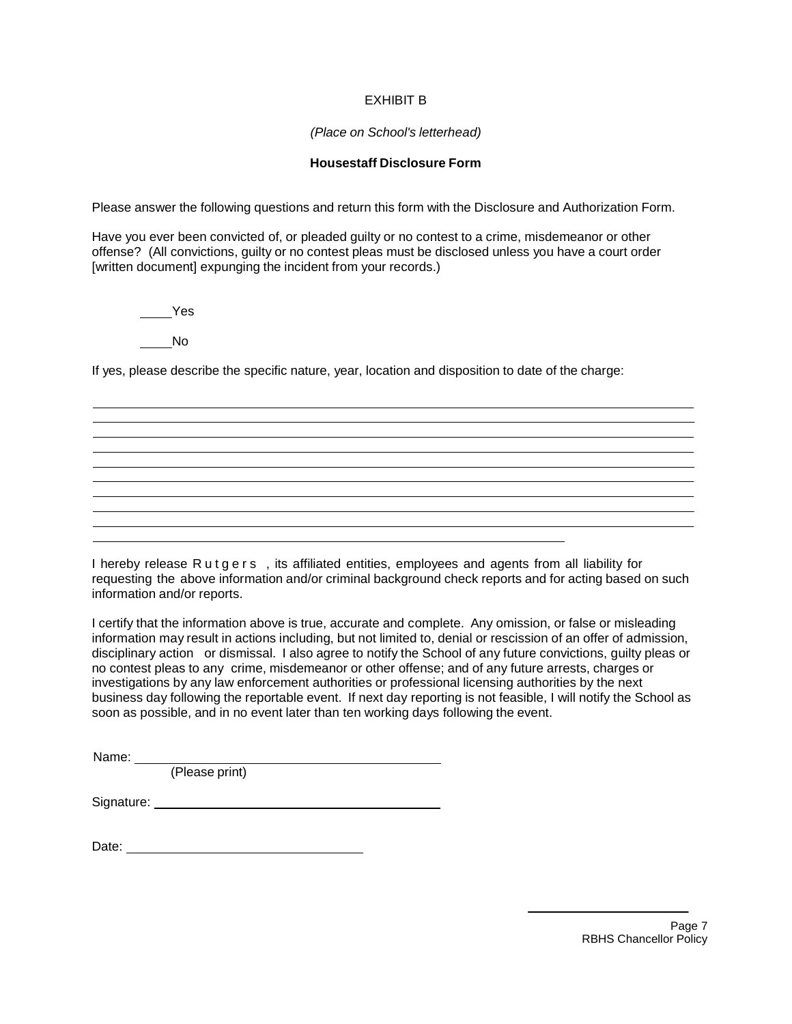## EXHIBIT B

### *(Place on School's letterhead)*

#### **Housestaff Disclosure Form**

Please answer the following questions and return this form with the Disclosure and Authorization Form.

Have you ever been convicted of, or pleaded guilty or no contest to a crime, misdemeanor or other offense? (All convictions, guilty or no contest pleas must be disclosed unless you have a court order [written document] expunging the incident from your records.)

Yes

No

If yes, please describe the specific nature, year, location and disposition to date of the charge:

I hereby release R u t g e r s , its affiliated entities, employees and agents from all liability for requesting the above information and/or criminal background check reports and for acting based on such information and/or reports.

I certify that the information above is true, accurate and complete. Any omission, or false or misleading information may result in actions including, but not limited to, denial or rescission of an offer of admission, disciplinary action or dismissal. I also agree to notify the School of any future convictions, guilty pleas or no contest pleas to any crime, misdemeanor or other offense; and of any future arrests, charges or investigations by any law enforcement authorities or professional licensing authorities by the next business day following the reportable event. If next day reporting is not feasible, I will notify the School as soon as possible, and in no event later than ten working days following the event.

Name:

(Please print)

Signature:

Date: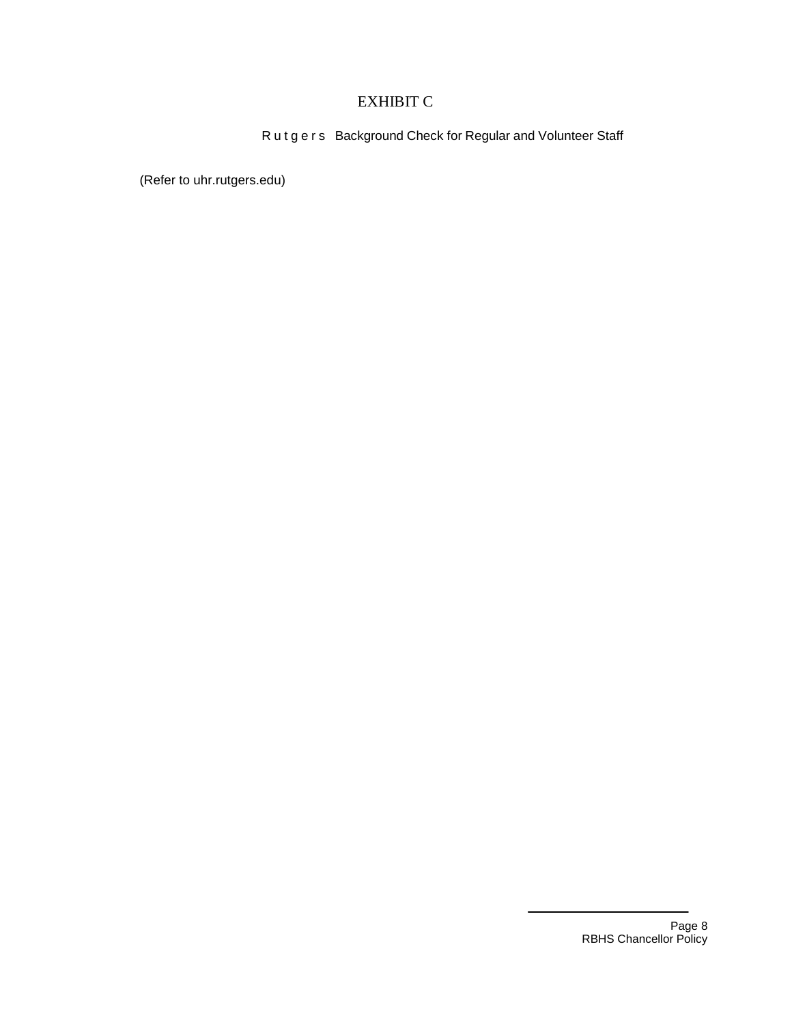# EXHIBIT C

R u t g e r s Background Check for Regular and Volunteer Staff

(Refer to uhr.rutgers.edu)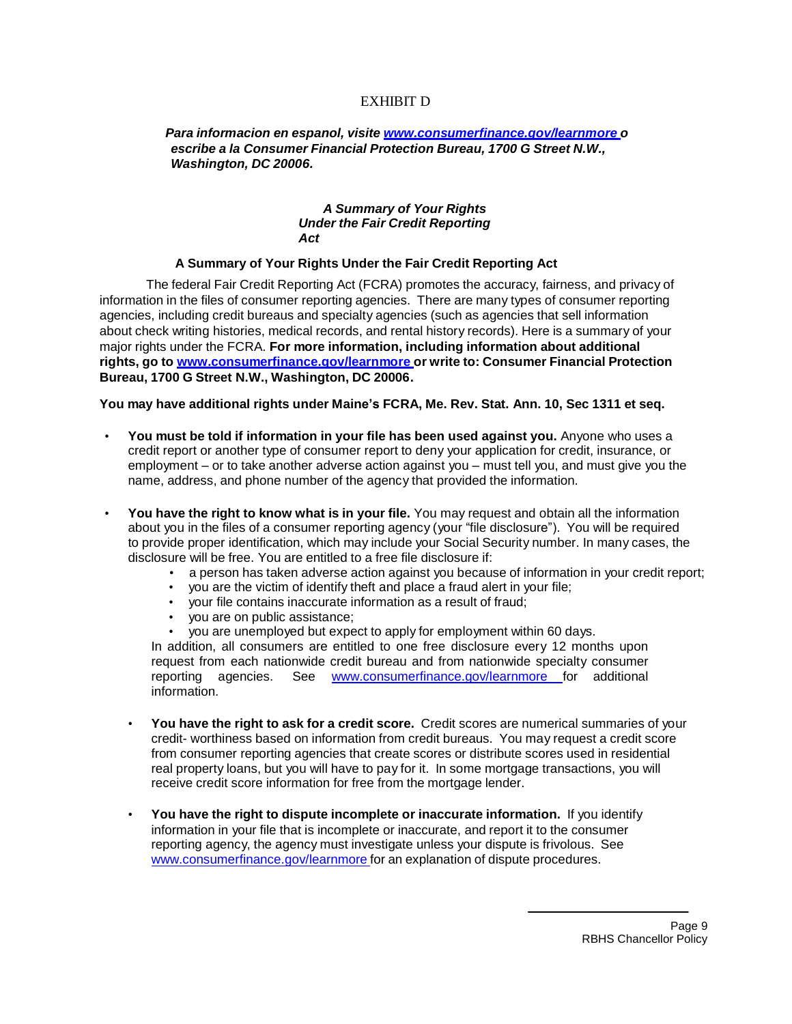#### EXHIBIT D

#### *Para informacion en espanol, visite [www.consumerfinance.gov/learnmore](http://www.consumerfinance.gov/learnmore/) o escribe a la Consumer Financial Protection Bureau, 1700 G Street N.W., Washington, DC 20006.*

#### *A Summary of Your Rights Under the Fair Credit Reporting Act*

#### **A Summary of Your Rights Under the Fair Credit Reporting Act**

The federal Fair Credit Reporting Act (FCRA) promotes the accuracy, fairness, and privacy of information in the files of consumer reporting agencies. There are many types of consumer reporting agencies, including credit bureaus and specialty agencies (such as agencies that sell information about check writing histories, medical records, and rental history records). Here is a summary of your major rights under the FCRA. **For more information, including information about additional rights, go to [www.consumerfinance.gov/learnmore](http://www.consumerfinance.gov/learnmore) or write to: Consumer Financial Protection Bureau, 1700 G Street N.W., Washington, DC 20006.**

#### **You may have additional rights under Maine's FCRA, Me. Rev. Stat. Ann. 10, Sec 1311 et seq.**

- **You must be told if information in your file has been used against you.** Anyone who uses a credit report or another type of consumer report to deny your application for credit, insurance, or employment – or to take another adverse action against you – must tell you, and must give you the name, address, and phone number of the agency that provided the information.
- **You have the right to know what is in your file.** You may request and obtain all the information about you in the files of a consumer reporting agency (your "file disclosure"). You will be required to provide proper identification, which may include your Social Security number. In many cases, the disclosure will be free. You are entitled to a free file disclosure if:
	- a person has taken adverse action against you because of information in your credit report;
	- you are the victim of identify theft and place a fraud alert in your file;
	- your file contains inaccurate information as a result of fraud;
	- you are on public assistance;
	- you are unemployed but expect to apply for employment within 60 days.

In addition, all consumers are entitled to one free disclosure every 12 months upon request from each nationwide credit bureau and from nationwide specialty consumer reporting agencies. See [www.consumerfinance.gov/learnmore](http://www.consumerfinance.gov/learnmore/) for additional information.

- **You have the right to ask for a credit score.** Credit scores are numerical summaries of your credit- worthiness based on information from credit bureaus. You may request a credit score from consumer reporting agencies that create scores or distribute scores used in residential real property loans, but you will have to pay for it. In some mortgage transactions, you will receive credit score information for free from the mortgage lender.
- **You have the right to dispute incomplete or inaccurate information.** If you identify information in your file that is incomplete or inaccurate, and report it to the consumer reporting agency, the agency must investigate unless your dispute is frivolous. See [www.consumerfinance.gov/learnmore](http://www.consumerfinance.gov/learnmore/) for an explanation of dispute procedures.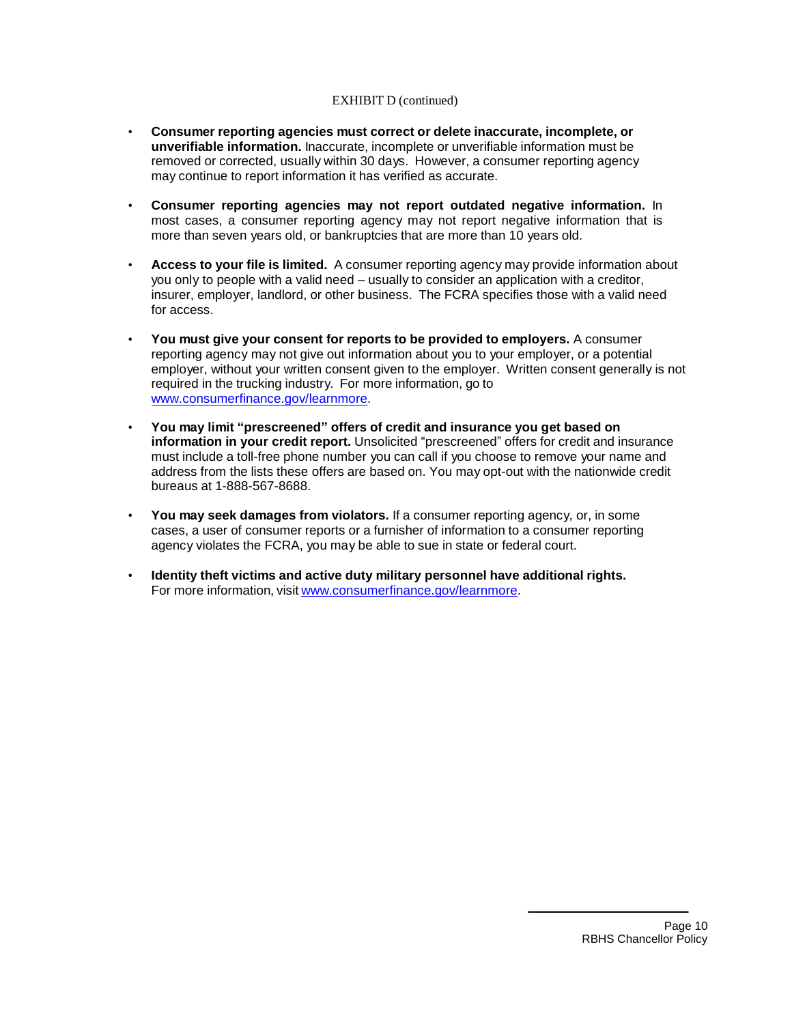#### EXHIBIT D (continued)

- **Consumer reporting agencies must correct or delete inaccurate, incomplete, or unverifiable information.** Inaccurate, incomplete or unverifiable information must be removed or corrected, usually within 30 days. However, a consumer reporting agency may continue to report information it has verified as accurate.
- **Consumer reporting agencies may not report outdated negative information.** In most cases, a consumer reporting agency may not report negative information that is more than seven years old, or bankruptcies that are more than 10 years old.
- **Access to your file is limited.** A consumer reporting agency may provide information about you only to people with a valid need – usually to consider an application with a creditor, insurer, employer, landlord, or other business. The FCRA specifies those with a valid need for access.
- **You must give your consent for reports to be provided to employers.** A consumer reporting agency may not give out information about you to your employer, or a potential employer, without your written consent given to the employer. Written consent generally is not required in the trucking industry. For more information, go to [www.consumerfinance.gov/learnmore.](http://www.consumerfinance.gov/learnmore/)
- **You may limit "prescreened" offers of credit and insurance you get based on information in your credit report.** Unsolicited "prescreened" offers for credit and insurance must include a toll-free phone number you can call if you choose to remove your name and address from the lists these offers are based on. You may opt-out with the nationwide credit bureaus at 1-888-567-8688.
- **You may seek damages from violators.** If a consumer reporting agency, or, in some cases, a user of consumer reports or a furnisher of information to a consumer reporting agency violates the FCRA, you may be able to sue in state or federal court.
- **Identity theft victims and active duty military personnel have additional rights.** For more information, visit [www.consumerfinance.gov/learnmore.](http://www.consumerfinance.gov/learnmore/)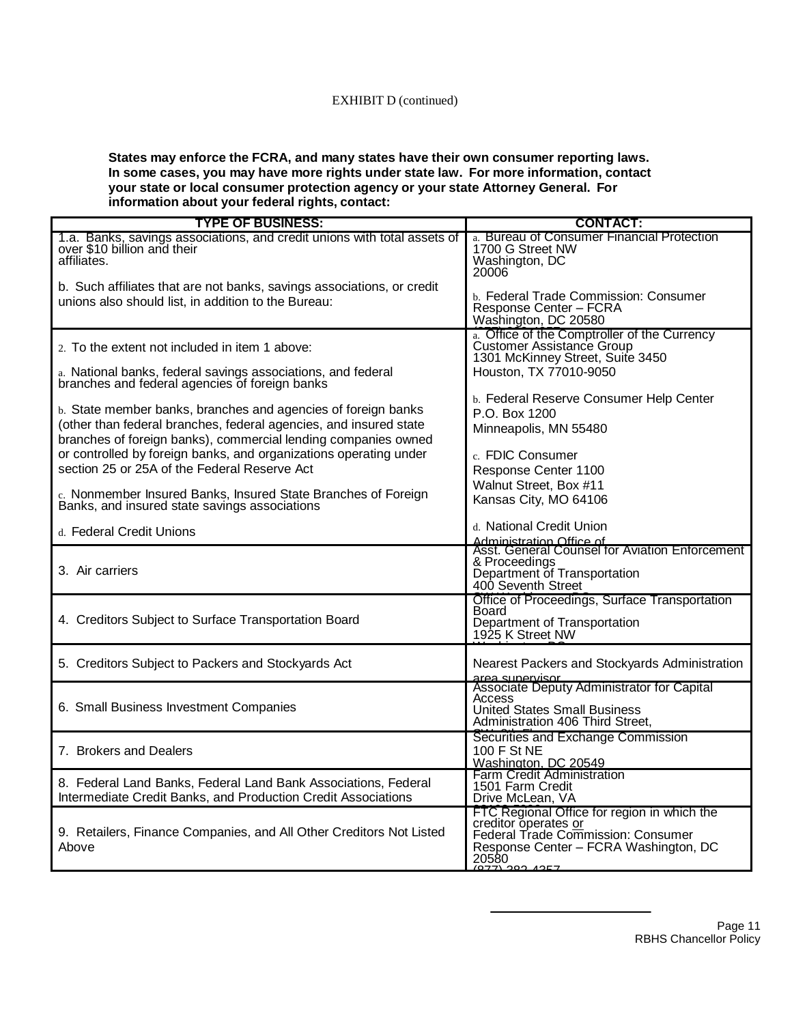#### EXHIBIT D (continued)

**States may enforce the FCRA, and many states have their own consumer reporting laws. In some cases, you may have more rights under state law. For more information, contact your state or local consumer protection agency or your state Attorney General. For information about your federal rights, contact:**

| <b>TYPE OF BUSINESS:</b>                                                                                                                                                                                                                                                                                                  | <b>CONTACT:</b>                                                                                                                                                                    |
|---------------------------------------------------------------------------------------------------------------------------------------------------------------------------------------------------------------------------------------------------------------------------------------------------------------------------|------------------------------------------------------------------------------------------------------------------------------------------------------------------------------------|
| 1.a. Banks, savings associations, and credit unions with total assets of<br>over \$10 billion and their<br>affiliates.                                                                                                                                                                                                    | a. Bureau of Consumer Financial Protection<br>1700 G Street NW<br>Washington, DC<br>20006                                                                                          |
| b. Such affiliates that are not banks, savings associations, or credit<br>unions also should list, in addition to the Bureau:                                                                                                                                                                                             | b. Federal Trade Commission: Consumer<br>Response Center - FCRA<br>Washington, DC 20580                                                                                            |
| 2. To the extent not included in item 1 above:                                                                                                                                                                                                                                                                            | a. Office of the Comptroller of the Currency<br><b>Customer Assistance Group</b><br>1301 McKinney Street, Suite 3450                                                               |
| a. National banks, federal savings associations, and federal<br>branches and federal agencies of foreign banks                                                                                                                                                                                                            | Houston, TX 77010-9050                                                                                                                                                             |
| b. State member banks, branches and agencies of foreign banks<br>(other than federal branches, federal agencies, and insured state<br>branches of foreign banks), commercial lending companies owned<br>or controlled by foreign banks, and organizations operating under<br>section 25 or 25A of the Federal Reserve Act | b. Federal Reserve Consumer Help Center<br>P.O. Box 1200<br>Minneapolis, MN 55480<br>c. FDIC Consumer                                                                              |
| c. Nonmember Insured Banks, Insured State Branches of Foreign<br>Banks, and insured state savings associations                                                                                                                                                                                                            | Response Center 1100<br>Walnut Street, Box #11<br>Kansas City, MO 64106                                                                                                            |
| d. Federal Credit Unions                                                                                                                                                                                                                                                                                                  | d. National Credit Union<br>Administration Office of                                                                                                                               |
| 3. Air carriers                                                                                                                                                                                                                                                                                                           | Asst. General Counsel for Aviation Enforcement<br>& Proceedings<br>Department of Transportation<br>400 Seventh Street                                                              |
| 4. Creditors Subject to Surface Transportation Board                                                                                                                                                                                                                                                                      | Office of Proceedings, Surface Transportation<br>Board<br>Department of Transportation<br>1925 K Street NW                                                                         |
| 5. Creditors Subject to Packers and Stockyards Act                                                                                                                                                                                                                                                                        | Nearest Packers and Stockyards Administration                                                                                                                                      |
| 6. Small Business Investment Companies                                                                                                                                                                                                                                                                                    | area supervisor<br>Associate Deputy Administrator for Capital<br>Access<br>United States Small Business<br>Administration 406 Third Street,                                        |
| 7. Brokers and Dealers                                                                                                                                                                                                                                                                                                    | Securities and Exchange Commission<br>100 F St NE<br>Washington, DC 20549                                                                                                          |
| 8. Federal Land Banks, Federal Land Bank Associations, Federal<br>Intermediate Credit Banks, and Production Credit Associations                                                                                                                                                                                           | <b>Farm Credit Administration</b><br>1501 Farm Credit<br>Drive McLean, VA                                                                                                          |
| 9. Retailers, Finance Companies, and All Other Creditors Not Listed<br>Above                                                                                                                                                                                                                                              | FTC Regional Office for region in which the<br>creditor operates or<br>Federal Trade Commission: Consumer<br>Response Center - FCRA Washington, DC<br>20580<br>$(077)$ 202<br>1057 |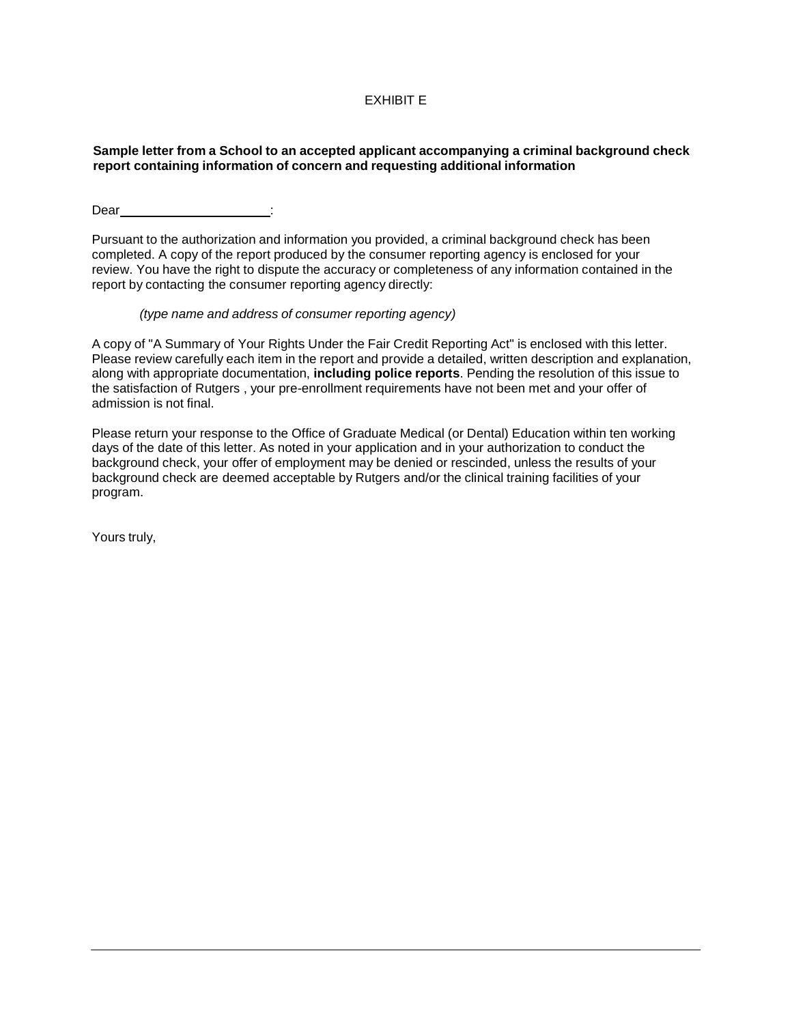## EXHIBIT E

#### **Sample letter from a School to an accepted applicant accompanying a criminal background check report containing information of concern and requesting additional information**

Dear :

Pursuant to the authorization and information you provided, a criminal background check has been completed. A copy of the report produced by the consumer reporting agency is enclosed for your review. You have the right to dispute the accuracy or completeness of any information contained in the report by contacting the consumer reporting agency directly:

#### *(type name and address of consumer reporting agency)*

A copy of "A Summary of Your Rights Under the Fair Credit Reporting Act" is enclosed with this letter. Please review carefully each item in the report and provide a detailed, written description and explanation, along with appropriate documentation, **including police reports**. Pending the resolution of this issue to the satisfaction of Rutgers , your pre-enrollment requirements have not been met and your offer of admission is not final.

Please return your response to the Office of Graduate Medical (or Dental) Education within ten working days of the date of this letter. As noted in your application and in your authorization to conduct the background check, your offer of employment may be denied or rescinded, unless the results of your background check are deemed acceptable by Rutgers and/or the clinical training facilities of your program.

Yours truly,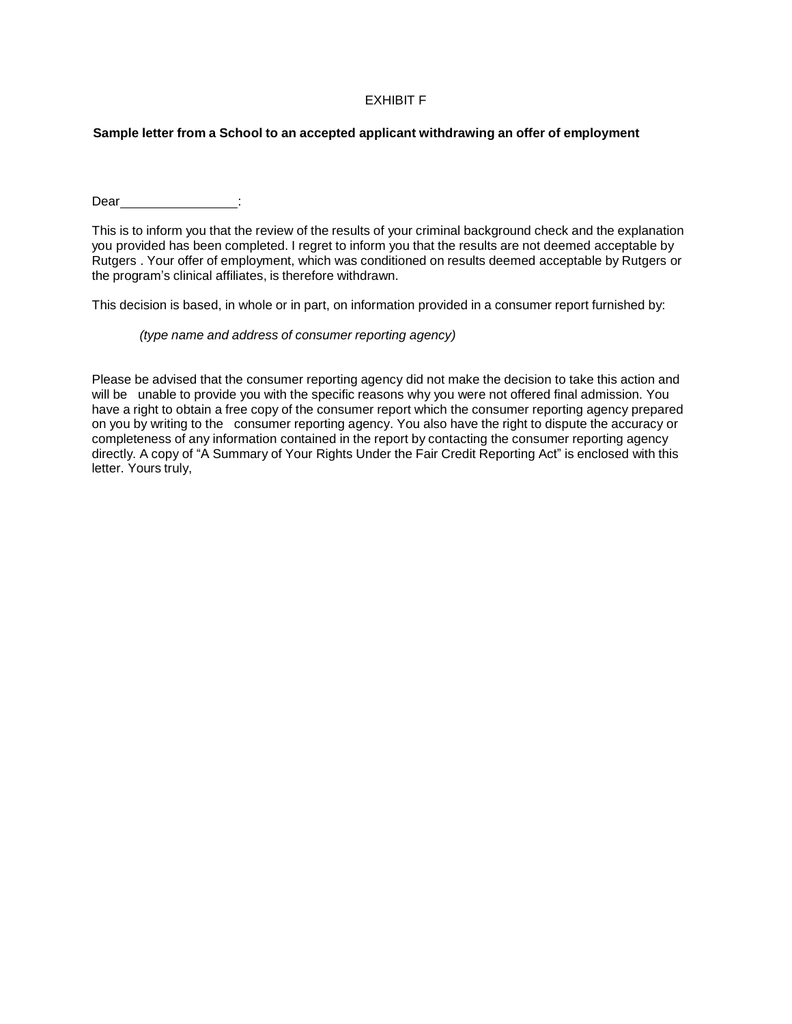## EXHIBIT F

#### **Sample letter from a School to an accepted applicant withdrawing an offer of employment**

Dear :

This is to inform you that the review of the results of your criminal background check and the explanation you provided has been completed. I regret to inform you that the results are not deemed acceptable by Rutgers . Your offer of employment, which was conditioned on results deemed acceptable by Rutgers or the program's clinical affiliates, is therefore withdrawn.

This decision is based, in whole or in part, on information provided in a consumer report furnished by:

*(type name and address of consumer reporting agency)*

Please be advised that the consumer reporting agency did not make the decision to take this action and will be unable to provide you with the specific reasons why you were not offered final admission. You have a right to obtain a free copy of the consumer report which the consumer reporting agency prepared on you by writing to the consumer reporting agency. You also have the right to dispute the accuracy or completeness of any information contained in the report by contacting the consumer reporting agency directly. A copy of "A Summary of Your Rights Under the Fair Credit Reporting Act" is enclosed with this letter. Yours truly,